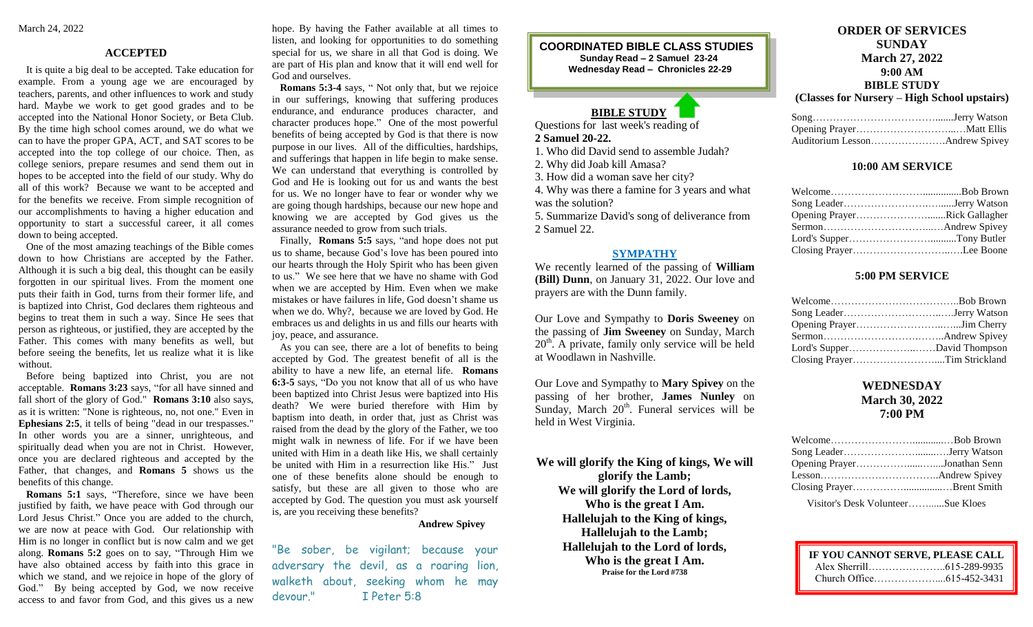#### **ACCEPTED**

 It is quite a big deal to be accepted. Take education for example. From a young age we are encouraged by teachers, parents, and other influences to work and study hard. Maybe we work to get good grades and to be accepted into the National Honor Society, or Beta Club. By the time high school comes around, we do what we can to have the proper GPA, ACT, and SAT scores to be accepted into the top college of our choice. Then, as college seniors, prepare resumes and send them out in hopes to be accepted into the field of our study. Why do all of this work? Because we want to be accepted and for the benefits we receive. From simple recognition of our accomplishments to having a higher education and opportunity to start a successful career, it all comes down to being accepted.

 One of the most amazing teachings of the Bible comes down to how Christians are accepted by the Father. Although it is such a big deal, this thought can be easily forgotten in our spiritual lives. From the moment one puts their faith in God, turns from their former life, and is baptized into Christ, God declares them righteous and begins to treat them in such a way. Since He sees that person as righteous, or justified, they are accepted by the Father. This comes with many benefits as well, but before seeing the benefits, let us realize what it is like without.

 Before being baptized into Christ, you are not acceptable. **Romans 3:23** says, "for all have sinned and fall short of the glory of God." **Romans 3:10** also says, as it is written: "None is righteous, no, not one." Even in **Ephesians 2:5**, it tells of being "dead in our trespasses." In other words you are a sinner, unrighteous, and spiritually dead when you are not in Christ. However, once you are declared righteous and accepted by the Father, that changes, and **Romans 5** shows us the benefits of this change.

 **Romans 5:1** says, "Therefore, since we have been justified by faith, we have peace with God through our Lord Jesus Christ." Once you are added to the church, we are now at peace with God. Our relationship with Him is no longer in conflict but is now calm and we get along. **Romans 5:2** goes on to say, "Through Him we have also obtained access by faith into this grace in which we stand, and we rejoice in hope of the glory of God." By being accepted by God, we now receive access to and favor from God, and this gives us a new hope. By having the Father available at all times to listen, and looking for opportunities to do something special for us, we share in all that God is doing. We are part of His plan and know that it will end well for God and ourselves.

 **Romans 5:3-4** says, " Not only that, but we rejoice in our sufferings, knowing that suffering produces endurance, and endurance produces character, and character produces hope." One of the most powerful benefits of being accepted by God is that there is now purpose in our lives. All of the difficulties, hardships, and sufferings that happen in life begin to make sense. We can understand that everything is controlled by God and He is looking out for us and wants the best for us. We no longer have to fear or wonder why we are going though hardships, because our new hope and knowing we are accepted by God gives us the assurance needed to grow from such trials.

 Finally, **Romans 5:5** says, "and hope does not put us to shame, because God's love has been poured into our hearts through the Holy Spirit who has been given to us." We see here that we have no shame with God when we are accepted by Him. Even when we make mistakes or have failures in life, God doesn't shame us when we do. Why?, because we are loved by God. He embraces us and delights in us and fills our hearts with joy, peace, and assurance.

 As you can see, there are a lot of benefits to being accepted by God. The greatest benefit of all is the ability to have a new life, an eternal life. **Romans 6:3-5** says, "Do you not know that all of us who have been baptized into Christ Jesus were baptized into His death? We were buried therefore with Him by baptism into death, in order that, just as Christ was raised from the dead by the glory of the Father, we too might walk in newness of life. For if we have been united with Him in a death like His, we shall certainly be united with Him in a resurrection like His." Just one of these benefits alone should be enough to satisfy, but these are all given to those who are accepted by God. The question you must ask yourself is, are you receiving these benefits?

#### **Andrew Spivey**

"Be sober, be vigilant; because your adversary the devil, as a roaring lion, walketh about, seeking whom he may devour." I Peter 5:8

#### **COORDINATED BIBLE CLASS STUDIES Sunday Read – 2 Samuel 23-24 Wednesday Read – Chronicles 22-29**

## **BIBLE STUDY**

Questions for last week's reading of **2 Samuel 20-22.**

1. Who did David send to assemble Judah?

2. Why did Joab kill Amasa?

3. How did a woman save her city?

4. Why was there a famine for 3 years and what was the solution?

5. Summarize David's song of deliverance from 2 Samuel 22.

#### **SYMPATHY**

We recently learned of the passing of **William (Bill) Dunn**, on January 31, 2022. Our love and prayers are with the Dunn family.

Our Love and Sympathy to **Doris Sweeney** on the passing of **Jim Sweeney** on Sunday, March  $20<sup>th</sup>$ . A private, family only service will be held at Woodlawn in Nashville.

Our Love and Sympathy to **Mary Spivey** on the passing of her brother, **James Nunley** on Sunday, March  $20<sup>th</sup>$ . Funeral services will be held in West Virginia.

**We will glorify the King of kings, We will glorify the Lamb; We will glorify the Lord of lords, Who is the great I Am. Hallelujah to the King of kings, Hallelujah to the Lamb; Hallelujah to the Lord of lords, Who is the great I Am. Praise for the Lord #738**

# **ORDER OF SERVICES SUNDAY March 27, 2022 9:00 AM BIBLE STUDY**

**(Classes for Nursery – High School upstairs)**

#### **10:00 AM SERVICE**

| Opening PrayerRick Gallagher |  |
|------------------------------|--|
|                              |  |
|                              |  |
| Closing PrayerLee Boone      |  |

### **5:00 PM SERVICE**

# **WEDNESDAY March 30, 2022 7:00 PM**

| Opening PrayerJonathan Senn       |  |
|-----------------------------------|--|
|                                   |  |
|                                   |  |
| Visitor's Desk VolunteerSue Kloes |  |

| IF YOU CANNOT SERVE, PLEASE CALL |  |
|----------------------------------|--|
|                                  |  |
|                                  |  |
|                                  |  |